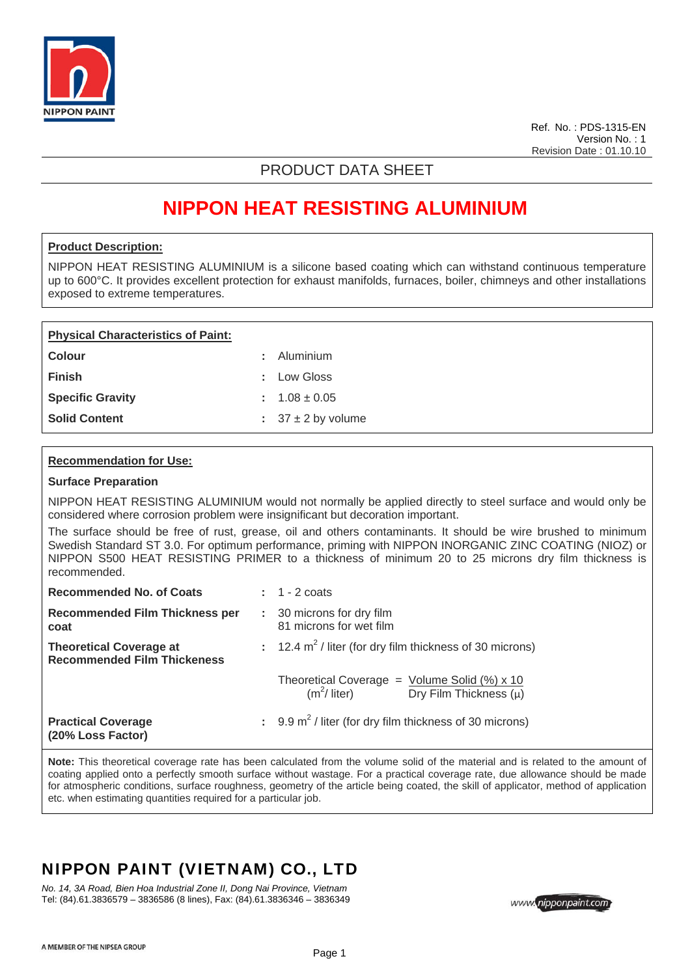

Ref. No. : PDS-1315-EN Version No. : 1 Revision Date : 01.10.10

### PRODUCT DATA SHEET

# **NIPPON HEAT RESISTING ALUMINIUM**

### **Product Description:**

NIPPON HEAT RESISTING ALUMINIUM is a silicone based coating which can withstand continuous temperature up to 600°C. It provides excellent protection for exhaust manifolds, furnaces, boiler, chimneys and other installations exposed to extreme temperatures.

| <b>Physical Characteristics of Paint:</b> |  |                            |  |  |  |
|-------------------------------------------|--|----------------------------|--|--|--|
| Colour                                    |  | : Aluminium                |  |  |  |
| <b>Finish</b>                             |  | : Low Gloss                |  |  |  |
| <b>Specific Gravity</b>                   |  | $: 1.08 \pm 0.05$          |  |  |  |
| <b>Solid Content</b>                      |  | $\pm$ 37 $\pm$ 2 by volume |  |  |  |

### **Recommendation for Use:**

#### **Surface Preparation**

NIPPON HEAT RESISTING ALUMINIUM would not normally be applied directly to steel surface and would only be considered where corrosion problem were insignificant but decoration important.

The surface should be free of rust, grease, oil and others contaminants. It should be wire brushed to minimum Swedish Standard ST 3.0. For optimum performance, priming with NIPPON INORGANIC ZINC COATING (NIOZ) or NIPPON S500 HEAT RESISTING PRIMER to a thickness of minimum 20 to 25 microns dry film thickness is recommended.

| <b>Recommended No. of Coats</b>                                      | $\pm$ 1 - 2 coats                                                                            |  |
|----------------------------------------------------------------------|----------------------------------------------------------------------------------------------|--|
| <b>Recommended Film Thickness per</b><br>coat                        | : 30 microns for dry film<br>81 microns for wet film                                         |  |
| <b>Theoretical Coverage at</b><br><b>Recommended Film Thickeness</b> | : $12.4 \text{ m}^2$ / liter (for dry film thickness of 30 microns)                          |  |
|                                                                      | Theoretical Coverage = $Volume Solid (%) x 10$<br>$(m2/$ liter) Dry Film Thickness ( $\mu$ ) |  |
| <b>Practical Coverage</b><br>(20% Loss Factor)                       | $\therefore$ 9.9 m <sup>2</sup> / liter (for dry film thickness of 30 microns)               |  |

**Note:** This theoretical coverage rate has been calculated from the volume solid of the material and is related to the amount of coating applied onto a perfectly smooth surface without wastage. For a practical coverage rate, due allowance should be made for atmospheric conditions, surface roughness, geometry of the article being coated, the skill of applicator, method of application etc. when estimating quantities required for a particular job.

### NIPPON PAINT (VIETNAM) CO., LTD

*No. 14, 3A Road, Bien Hoa Industrial Zone II, Dong Nai Province, Vietnam*  Tel: (84).61.3836579 – 3836586 (8 lines), Fax: (84).61.3836346 – 3836349

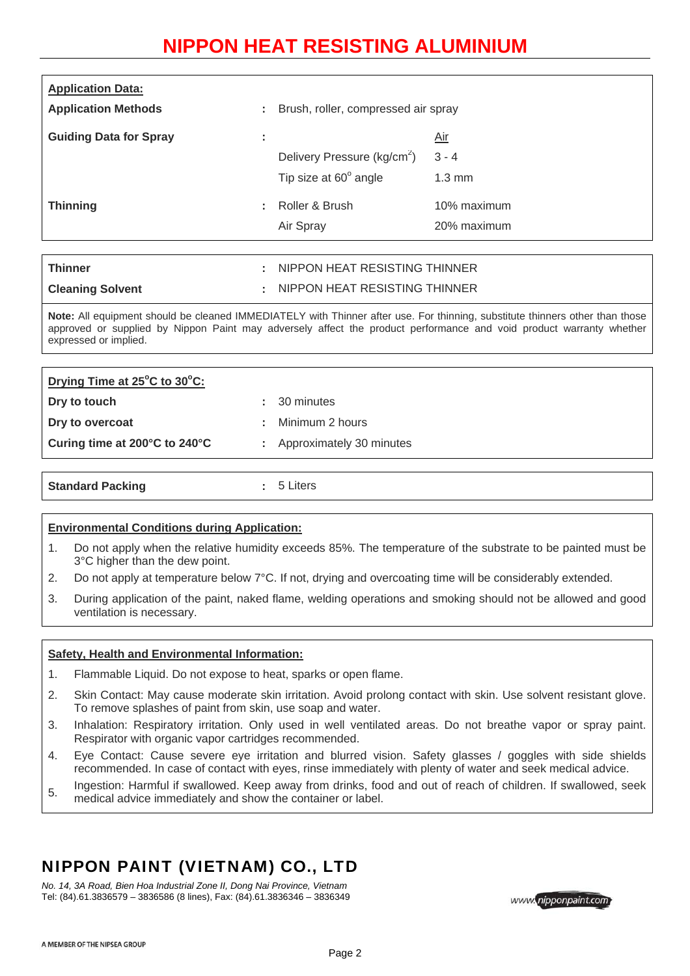## **NIPPON HEAT RESISTING ALUMINIUM**

| <b>Application Data:</b><br><b>Application Methods</b> |                     | Brush, roller, compressed air spray                                     |                                           |
|--------------------------------------------------------|---------------------|-------------------------------------------------------------------------|-------------------------------------------|
| <b>Guiding Data for Spray</b>                          | ٠<br>$\blacksquare$ | Delivery Pressure (kg/cm <sup>2</sup> )<br>Tip size at $60^\circ$ angle | <u>Air</u><br>$3 - 4$<br>$1.3 \text{ mm}$ |
| <b>Thinning</b>                                        | ÷.                  | Roller & Brush<br>Air Spray                                             | 10% maximum<br>20% maximum                |

| <b>Thinner</b>          | NIPPON HEAT RESISTING THINNER |
|-------------------------|-------------------------------|
| <b>Cleaning Solvent</b> | NIPPON HEAT RESISTING THINNER |

**Note:** All equipment should be cleaned IMMEDIATELY with Thinner after use. For thinning, substitute thinners other than those approved or supplied by Nippon Paint may adversely affect the product performance and void product warranty whether expressed or implied.

| Drying Time at 25°C to 30°C:  |                            |
|-------------------------------|----------------------------|
| Dry to touch                  | $: 30$ minutes             |
| Dry to overcoat               | Minimum 2 hours            |
| Curing time at 200°C to 240°C | : Approximately 30 minutes |
|                               |                            |

| <b>Standard Packing</b> | tters i |  |
|-------------------------|---------|--|
|                         |         |  |

#### **Environmental Conditions during Application:**

- 1. Do not apply when the relative humidity exceeds 85%. The temperature of the substrate to be painted must be 3°C higher than the dew point.
- 2. Do not apply at temperature below 7°C. If not, drying and overcoating time will be considerably extended.
- 3. During application of the paint, naked flame, welding operations and smoking should not be allowed and good ventilation is necessary.

### **Safety, Health and Environmental Information:**

- 1. Flammable Liquid. Do not expose to heat, sparks or open flame.
- 2. Skin Contact: May cause moderate skin irritation. Avoid prolong contact with skin. Use solvent resistant glove. To remove splashes of paint from skin, use soap and water.
- 3. Inhalation: Respiratory irritation. Only used in well ventilated areas. Do not breathe vapor or spray paint. Respirator with organic vapor cartridges recommended.
- 4. Eye Contact: Cause severe eye irritation and blurred vision. Safety glasses / goggles with side shields recommended. In case of contact with eyes, rinse immediately with plenty of water and seek medical advice.
- 5. Ingestion: Harmful if swallowed. Keep away from drinks, food and out of reach of children. If swallowed, seek
- medical advice immediately and show the container or label.

## NIPPON PAINT (VIETNAM) CO., LTD

*No. 14, 3A Road, Bien Hoa Industrial Zone II, Dong Nai Province, Vietnam*  Tel: (84).61.3836579 – 3836586 (8 lines), Fax: (84).61.3836346 – 3836349